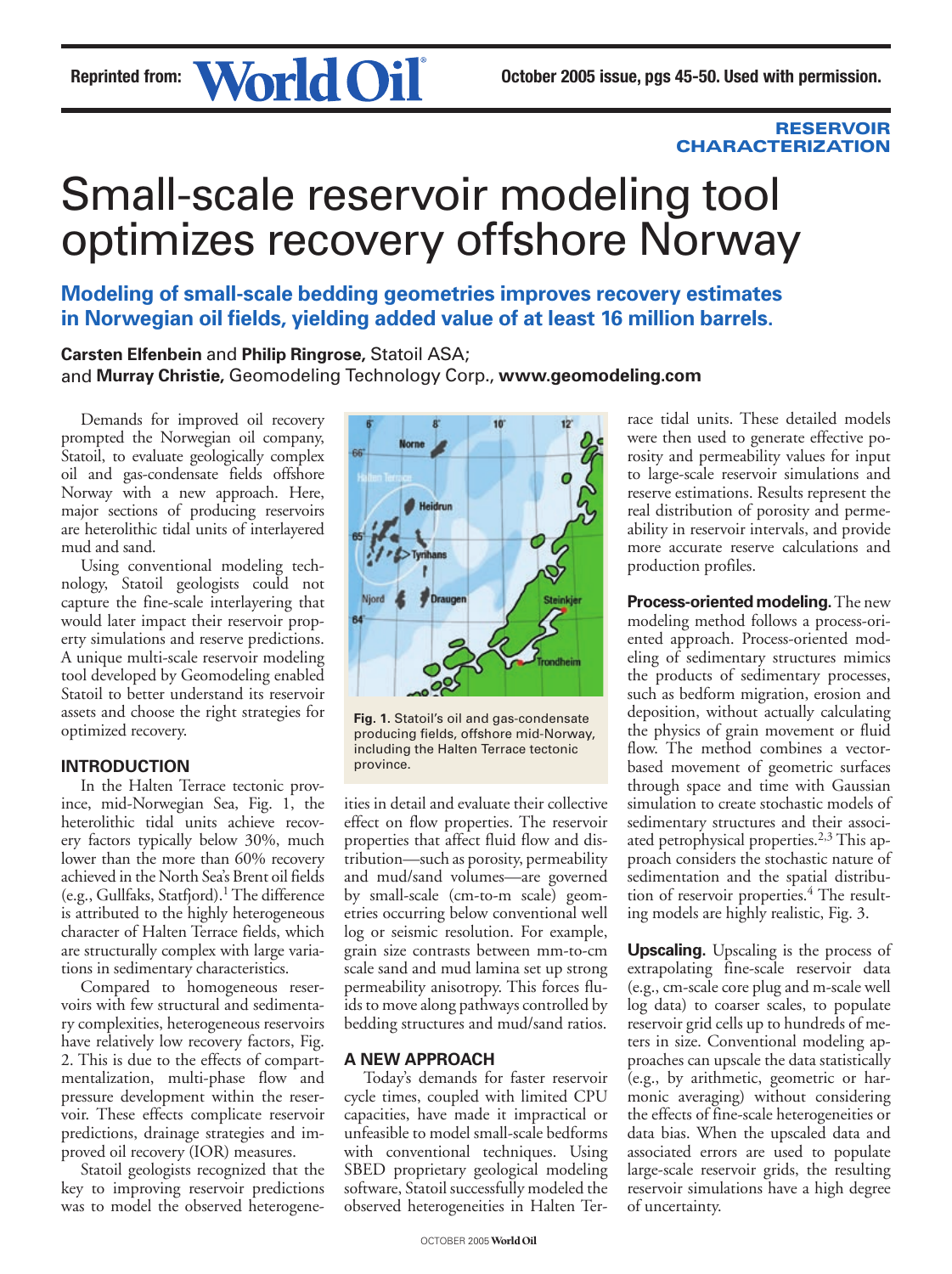

# RESERVOIR **CHARACTERIZATION**

# Small-scale reservoir modeling tool optimizes recovery offshore Norway

**Modeling of small-scale bedding geometries improves recovery estimates in Norwegian oil fields, yielding added value of at least 16 million barrels.**

**Carsten Elfenbein** and **Philip Ringrose,** Statoil ASA; and **Murray Christie,** Geomodeling Technology Corp., **www.geomodeling.com**

Demands for improved oil recovery prompted the Norwegian oil company, Statoil, to evaluate geologically complex oil and gas-condensate fields offshore Norway with a new approach. Here, major sections of producing reservoirs are heterolithic tidal units of interlayered mud and sand.

Using conventional modeling technology, Statoil geologists could not capture the fine-scale interlayering that would later impact their reservoir property simulations and reserve predictions. A unique multi-scale reservoir modeling tool developed by Geomodeling enabled Statoil to better understand its reservoir assets and choose the right strategies for optimized recovery.

## **INTRODUCTION**

In the Halten Terrace tectonic province, mid-Norwegian Sea, Fig. 1, the heterolithic tidal units achieve recovery factors typically below 30%, much lower than the more than 60% recovery achieved in the North Sea's Brent oil fields (e.g., Gullfaks, Statfjord).1 The difference is attributed to the highly heterogeneous character of Halten Terrace fields, which are structurally complex with large variations in sedimentary characteristics.

Compared to homogeneous reservoirs with few structural and sedimentary complexities, heterogeneous reservoirs have relatively low recovery factors, Fig. 2. This is due to the effects of compartmentalization, multi-phase flow and pressure development within the reservoir. These effects complicate reservoir predictions, drainage strategies and improved oil recovery (IOR) measures.

Statoil geologists recognized that the key to improving reservoir predictions was to model the observed heterogene-



**Fig. 1.** Statoil's oil and gas-condensate producing fields, offshore mid-Norway, including the Halten Terrace tectonic province.

ities in detail and evaluate their collective effect on flow properties. The reservoir properties that affect fluid flow and distribution—such as porosity, permeability and mud/sand volumes—are governed by small-scale (cm-to-m scale) geometries occurring below conventional well log or seismic resolution. For example, grain size contrasts between mm-to-cm scale sand and mud lamina set up strong permeability anisotropy. This forces fluids to move along pathways controlled by bedding structures and mud/sand ratios.

#### **A NEW APPROACH**

Today's demands for faster reservoir cycle times, coupled with limited CPU capacities, have made it impractical or unfeasible to model small-scale bedforms with conventional techniques. Using SBED proprietary geological modeling software, Statoil successfully modeled the observed heterogeneities in Halten Terrace tidal units. These detailed models were then used to generate effective porosity and permeability values for input to large-scale reservoir simulations and reserve estimations. Results represent the real distribution of porosity and permeability in reservoir intervals, and provide more accurate reserve calculations and production profiles.

**Process-oriented modeling.** The new modeling method follows a process-oriented approach. Process-oriented modeling of sedimentary structures mimics the products of sedimentary processes, such as bedform migration, erosion and deposition, without actually calculating the physics of grain movement or fluid flow. The method combines a vectorbased movement of geometric surfaces through space and time with Gaussian simulation to create stochastic models of sedimentary structures and their associated petrophysical properties.<sup>2,3</sup> This approach considers the stochastic nature of sedimentation and the spatial distribution of reservoir properties.<sup>4</sup> The resulting models are highly realistic, Fig. 3.

**Upscaling.** Upscaling is the process of extrapolating fine-scale reservoir data (e.g., cm-scale core plug and m-scale well log data) to coarser scales, to populate reservoir grid cells up to hundreds of meters in size. Conventional modeling approaches can upscale the data statistically (e.g., by arithmetic, geometric or harmonic averaging) without considering the effects of fine-scale heterogeneities or data bias. When the upscaled data and associated errors are used to populate large-scale reservoir grids, the resulting reservoir simulations have a high degree of uncertainty.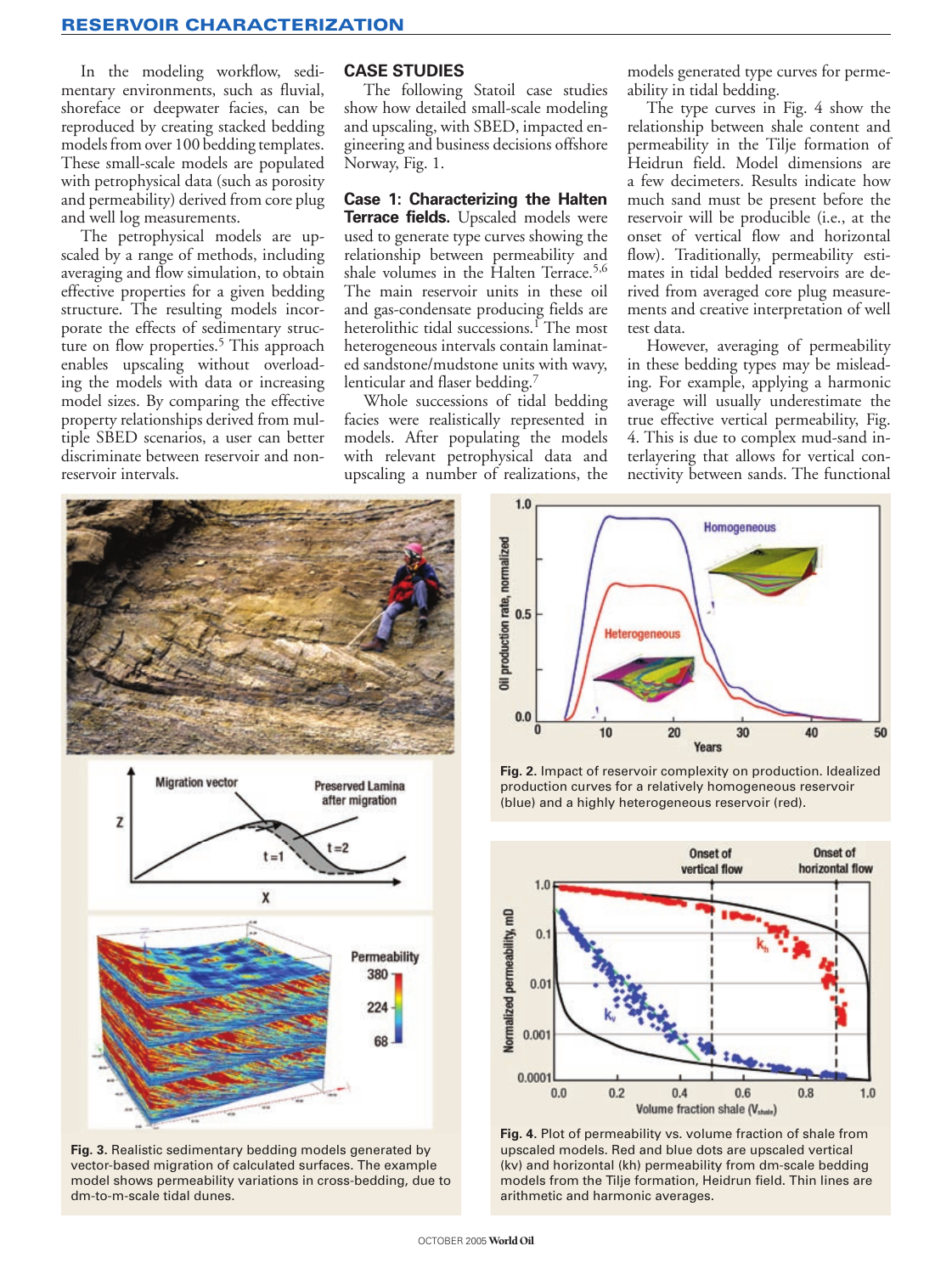In the modeling workflow, sedimentary environments, such as fluvial, shoreface or deepwater facies, can be reproduced by creating stacked bedding models from over 100 bedding templates. These small-scale models are populated with petrophysical data (such as porosity and permeability) derived from core plug and well log measurements.

The petrophysical models are upscaled by a range of methods, including averaging and flow simulation, to obtain effective properties for a given bedding structure. The resulting models incorporate the effects of sedimentary structure on flow properties.<sup>5</sup> This approach enables upscaling without overloading the models with data or increasing model sizes. By comparing the effective property relationships derived from multiple SBED scenarios, a user can better discriminate between reservoir and nonreservoir intervals.

#### **CASE STUDIES**

The following Statoil case studies show how detailed small-scale modeling and upscaling, with SBED, impacted engineering and business decisions offshore Norway, Fig. 1.

**Case 1: Characterizing the Halten Terrace fields.** Upscaled models were used to generate type curves showing the relationship between permeability and shale volumes in the Halten Terrace.<sup>5,6</sup> The main reservoir units in these oil and gas-condensate producing fields are heterolithic tidal successions.<sup>1</sup> The most heterogeneous intervals contain laminated sandstone/mudstone units with wavy, lenticular and flaser bedding.7

Whole successions of tidal bedding facies were realistically represented in models. After populating the models with relevant petrophysical data and upscaling a number of realizations, the

models generated type curves for permeability in tidal bedding.

The type curves in Fig. 4 show the relationship between shale content and permeability in the Tilje formation of Heidrun field. Model dimensions are a few decimeters. Results indicate how much sand must be present before the reservoir will be producible (i.e., at the onset of vertical flow and horizontal flow). Traditionally, permeability estimates in tidal bedded reservoirs are derived from averaged core plug measurements and creative interpretation of well test data.

However, averaging of permeability in these bedding types may be misleading. For example, applying a harmonic average will usually underestimate the true effective vertical permeability, Fig. 4. This is due to complex mud-sand interlayering that allows for vertical connectivity between sands. The functional



**Fig. 3.** Realistic sedimentary bedding models generated by vector-based migration of calculated surfaces. The example model shows permeability variations in cross-bedding, due to dm-to-m-scale tidal dunes.



**Fig. 2.** Impact of reservoir complexity on production. Idealized production curves for a relatively homogeneous reservoir (blue) and a highly heterogeneous reservoir (red).



**Fig. 4.** Plot of permeability vs. volume fraction of shale from upscaled models. Red and blue dots are upscaled vertical (kv) and horizontal (kh) permeability from dm-scale bedding models from the Tilje formation, Heidrun field. Thin lines are arithmetic and harmonic averages.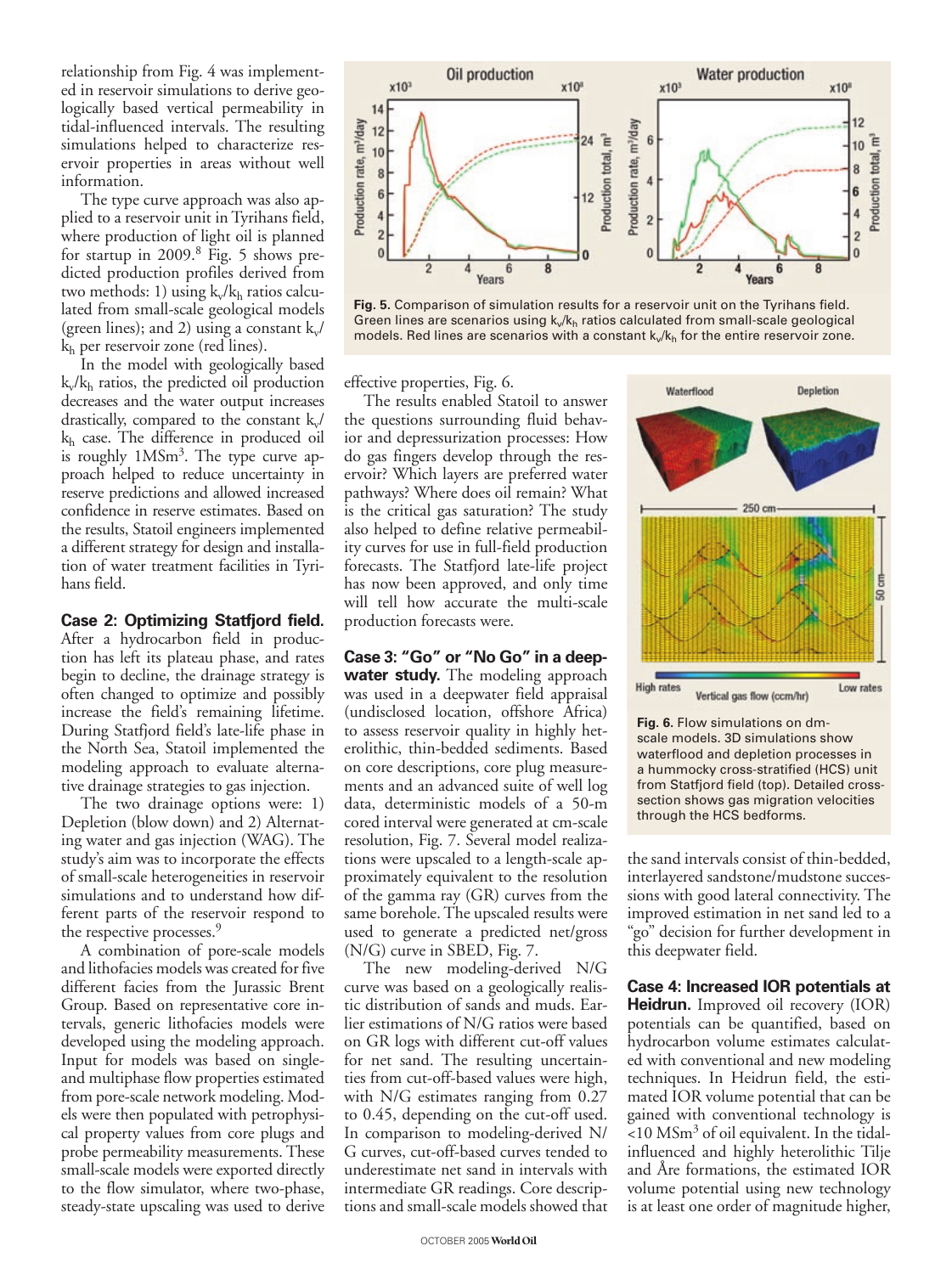relationship from Fig. 4 was implemented in reservoir simulations to derive geologically based vertical permeability in tidal-influenced intervals. The resulting simulations helped to characterize reservoir properties in areas without well information.

The type curve approach was also applied to a reservoir unit in Tyrihans field, where production of light oil is planned for startup in 2009.8 Fig. 5 shows predicted production profiles derived from two methods: 1) using  $k_v/k_h$  ratios calculated from small-scale geological models (green lines); and 2) using a constant  $k_v/$  $k_h$  per reservoir zone (red lines).

In the model with geologically based  $k_v/k_h$  ratios, the predicted oil production decreases and the water output increases drastically, compared to the constant  $k_v/$ kh case. The difference in produced oil is roughly 1MSm<sup>3</sup>. The type curve approach helped to reduce uncertainty in reserve predictions and allowed increased confidence in reserve estimates. Based on the results, Statoil engineers implemented a different strategy for design and installation of water treatment facilities in Tyrihans field.

## **Case 2: Optimizing Statfjord field.**

After a hydrocarbon field in production has left its plateau phase, and rates begin to decline, the drainage strategy is often changed to optimize and possibly increase the field's remaining lifetime. During Statfjord field's late-life phase in the North Sea, Statoil implemented the modeling approach to evaluate alternative drainage strategies to gas injection.

The two drainage options were: 1) Depletion (blow down) and 2) Alternating water and gas injection (WAG). The study's aim was to incorporate the effects of small-scale heterogeneities in reservoir simulations and to understand how different parts of the reservoir respond to the respective processes.<sup>9</sup>

A combination of pore-scale models and lithofacies models was created for five different facies from the Jurassic Brent Group. Based on representative core intervals, generic lithofacies models were developed using the modeling approach. Input for models was based on singleand multiphase flow properties estimated from pore-scale network modeling. Models were then populated with petrophysical property values from core plugs and probe permeability measurements. These small-scale models were exported directly to the flow simulator, where two-phase, steady-state upscaling was used to derive



Fig. 5. Comparison of simulation results for a reservoir unit on the Tyrihans field. Green lines are scenarios using  $k_v/k_h$  ratios calculated from small-scale geological models. Red lines are scenarios with a constant  $k_v/k_h$  for the entire reservoir zone.

effective properties, Fig. 6.

The results enabled Statoil to answer the questions surrounding fluid behavior and depressurization processes: How do gas fingers develop through the reservoir? Which layers are preferred water pathways? Where does oil remain? What is the critical gas saturation? The study also helped to define relative permeability curves for use in full-field production forecasts. The Statfjord late-life project has now been approved, and only time will tell how accurate the multi-scale production forecasts were.

#### **Case 3: "Go" or "No Go" in a deep-**

**water study.** The modeling approach was used in a deepwater field appraisal (undisclosed location, offshore Africa) to assess reservoir quality in highly heterolithic, thin-bedded sediments. Based on core descriptions, core plug measurements and an advanced suite of well log data, deterministic models of a 50-m cored interval were generated at cm-scale resolution, Fig. 7. Several model realizations were upscaled to a length-scale approximately equivalent to the resolution of the gamma ray (GR) curves from the same borehole. The upscaled results were used to generate a predicted net/gross (N/G) curve in SBED, Fig. 7.

The new modeling-derived N/G curve was based on a geologically realistic distribution of sands and muds. Earlier estimations of N/G ratios were based on GR logs with different cut-off values for net sand. The resulting uncertainties from cut-off-based values were high, with N/G estimates ranging from 0.27 to 0.45, depending on the cut-off used. In comparison to modeling-derived N/ G curves, cut-off-based curves tended to underestimate net sand in intervals with intermediate GR readings. Core descriptions and small-scale models showed that



**Fig. 6.** Flow simulations on dmscale models. 3D simulations show waterflood and depletion processes in a hummocky cross-stratified (HCS) unit from Statfjord field (top). Detailed crosssection shows gas migration velocities through the HCS bedforms.

the sand intervals consist of thin-bedded, interlayered sandstone/mudstone successions with good lateral connectivity. The improved estimation in net sand led to a "go" decision for further development in this deepwater field.

**Case 4: Increased IOR potentials at Heidrun.** Improved oil recovery (IOR) potentials can be quantified, based on hydrocarbon volume estimates calculated with conventional and new modeling techniques. In Heidrun field, the estimated IOR volume potential that can be gained with conventional technology is  $<$ 10 MSm<sup>3</sup> of oil equivalent. In the tidalinfluenced and highly heterolithic Tilje and Åre formations, the estimated IOR volume potential using new technology is at least one order of magnitude higher,